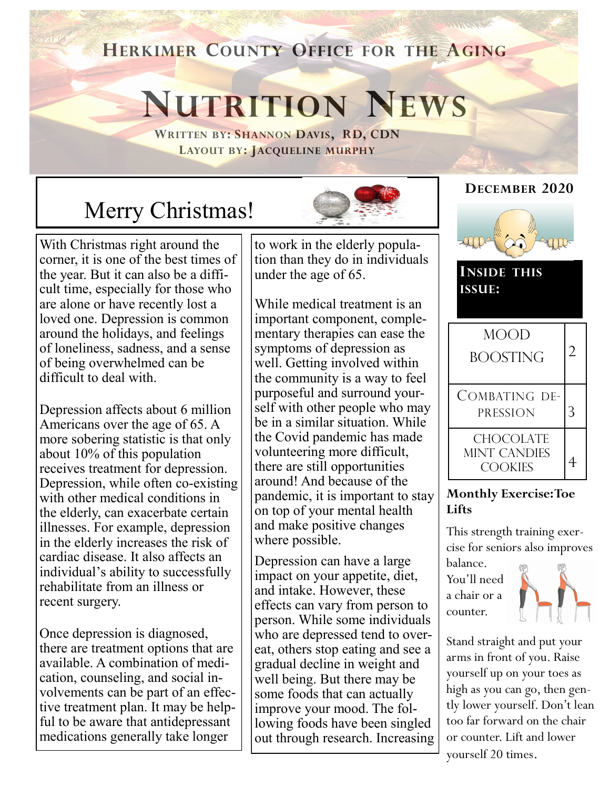## **HERKIMER COUNTY OFFICE FOR THE AGING**

# **NUTRITION NEWS**

**WRITTEN BY: SHANNON DAVIS, RD, CDN LAYOUT BY: JACQUELINE MURPHY**

# Merry Christmas!

With Christmas right around the corner, it is one of the best times of the year. But it can also be a difficult time, especially for those who are alone or have recently lost a loved one. Depression is common around the holidays, and feelings of loneliness, sadness, and a sense of being overwhelmed can be difficult to deal with.

Depression affects about 6 million Americans over the age of 65. A more sobering statistic is that only about 10% of this population receives treatment for depression. Depression, while often co-existing with other medical conditions in the elderly, can exacerbate certain illnesses. For example, depression in the elderly increases the risk of cardiac disease. It also affects an individual's ability to successfully rehabilitate from an illness or recent surgery.

Once depression is diagnosed, there are treatment options that are available. A combination of medication, counseling, and social involvements can be part of an effective treatment plan. It may be helpful to be aware that antidepressant medications generally take longer

to work in the elderly population than they do in individuals under the age of 65.

While medical treatment is an important component, complementary therapies can ease the symptoms of depression as well. Getting involved within the community is a way to feel purposeful and surround yourself with other people who may be in a similar situation. While the Covid pandemic has made volunteering more difficult, there are still opportunities around! And because of the pandemic, it is important to stay on top of your mental health and make positive changes where possible.

Depression can have a large impact on your appetite, diet, and intake. However, these effects can vary from person to person. While some individuals who are depressed tend to overeat, others stop eating and see a gradual decline in weight and well being. But there may be some foods that can actually improve your mood. The following foods have been singled out through research. Increasing

#### **DECEMBER 2020**



**INSIDE THIS ISSUE:**



#### **Monthly Exercise: Toe Lifts**

This strength training exercise for seniors also improves

balance. You'll need a chair or a counter.



Stand straight and put your arms in front of you. Raise yourself up on your toes as high as you can go, then gently lower yourself. Don't lean too far forward on the chair or counter. Lift and lower yourself 20 times.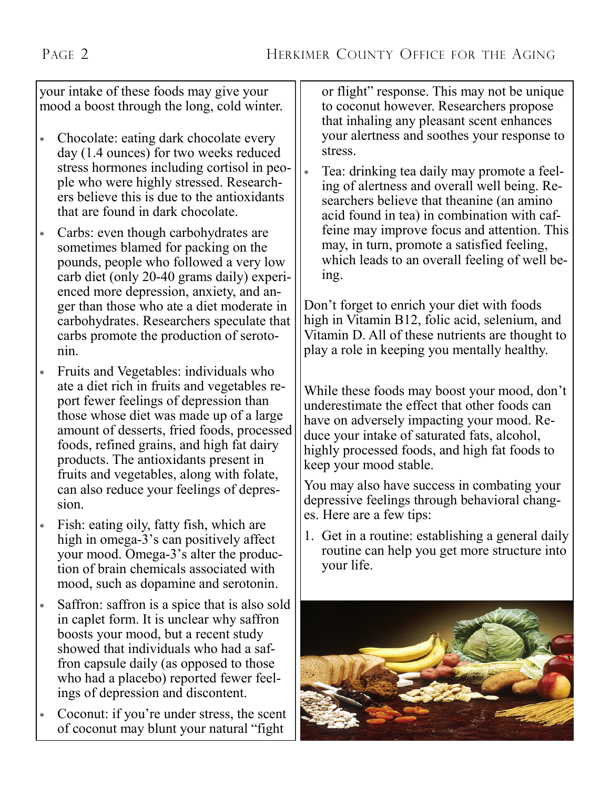your intake of these foods may give your mood a boost through the long, cold winter.

- Chocolate: eating dark chocolate every day (1.4 ounces) for two weeks reduced stress hormones including cortisol in people who were highly stressed. Researchers believe this is due to the antioxidants that are found in dark chocolate.
- Carbs: even though carbohydrates are sometimes blamed for packing on the pounds, people who followed a very low carb diet (only 20-40 grams daily) experienced more depression, anxiety, and anger than those who ate a diet moderate in carbohydrates. Researchers speculate that carbs promote the production of serotonin.
- Fruits and Vegetables: individuals who ate a diet rich in fruits and vegetables report fewer feelings of depression than those whose diet was made up of a large amount of desserts, fried foods, processed foods, refined grains, and high fat dairy products. The antioxidants present in fruits and vegetables, along with folate, can also reduce your feelings of depression.
- Fish: eating oily, fatty fish, which are high in omega-3's can positively affect your mood. Omega-3's alter the production of brain chemicals associated with mood, such as dopamine and serotonin.
- Saffron: saffron is a spice that is also sold in caplet form. It is unclear why saffron boosts your mood, but a recent study showed that individuals who had a saffron capsule daily (as opposed to those who had a placebo) reported fewer feelings of depression and discontent.
- Coconut: if you're under stress, the scent of coconut may blunt your natural "fight

or flight" response. This may not be unique to coconut however. Researchers propose that inhaling any pleasant scent enhances your alertness and soothes your response to stress.

 Tea: drinking tea daily may promote a feeling of alertness and overall well being. Researchers believe that theanine (an amino acid found in tea) in combination with caffeine may improve focus and attention. This may, in turn, promote a satisfied feeling, which leads to an overall feeling of well being.

Don't forget to enrich your diet with foods high in Vitamin B12, folic acid, selenium, and Vitamin D. All of these nutrients are thought to play a role in keeping you mentally healthy.

While these foods may boost your mood, don't underestimate the effect that other foods can have on adversely impacting your mood. Reduce your intake of saturated fats, alcohol, highly processed foods, and high fat foods to keep your mood stable.

You may also have success in combating your depressive feelings through behavioral changes. Here are a few tips:

1. Get in a routine: establishing a general daily routine can help you get more structure into your life.

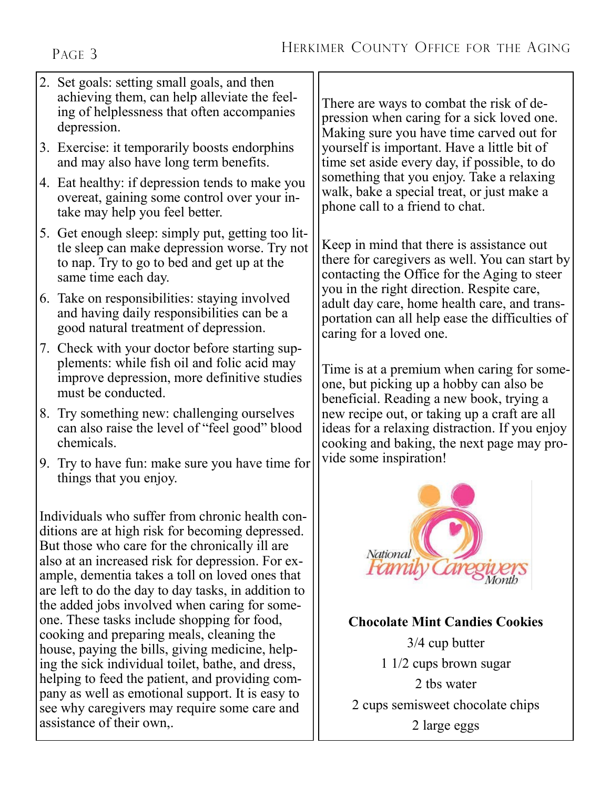PAGE 3

- 2. Set goals: setting small goals, and then achieving them, can help alleviate the feeling of helplessness that often accompanies depression.
- 3. Exercise: it temporarily boosts endorphins and may also have long term benefits.
- 4. Eat healthy: if depression tends to make you overeat, gaining some control over your intake may help you feel better.
- 5. Get enough sleep: simply put, getting too little sleep can make depression worse. Try not to nap. Try to go to bed and get up at the same time each day.
- 6. Take on responsibilities: staying involved and having daily responsibilities can be a good natural treatment of depression.
- 7. Check with your doctor before starting supplements: while fish oil and folic acid may improve depression, more definitive studies must be conducted.
- 8. Try something new: challenging ourselves can also raise the level of "feel good" blood chemicals.
- 9. Try to have fun: make sure you have time for things that you enjoy.

Individuals who suffer from chronic health conditions are at high risk for becoming depressed. But those who care for the chronically ill are also at an increased risk for depression. For example, dementia takes a toll on loved ones that are left to do the day to day tasks, in addition to the added jobs involved when caring for someone. These tasks include shopping for food, cooking and preparing meals, cleaning the house, paying the bills, giving medicine, helping the sick individual toilet, bathe, and dress, helping to feed the patient, and providing company as well as emotional support. It is easy to see why caregivers may require some care and assistance of their own,.

There are ways to combat the risk of depression when caring for a sick loved one. Making sure you have time carved out for yourself is important. Have a little bit of time set aside every day, if possible, to do something that you enjoy. Take a relaxing walk, bake a special treat, or just make a phone call to a friend to chat.

Keep in mind that there is assistance out there for caregivers as well. You can start by contacting the Office for the Aging to steer you in the right direction. Respite care, adult day care, home health care, and transportation can all help ease the difficulties of caring for a loved one.

Time is at a premium when caring for someone, but picking up a hobby can also be beneficial. Reading a new book, trying a new recipe out, or taking up a craft are all ideas for a relaxing distraction. If you enjoy cooking and baking, the next page may provide some inspiration!



#### **Chocolate Mint Candies Cookies**

3/4 cup butter 1 1/2 cups brown sugar 2 tbs water 2 cups semisweet chocolate chips 2 large eggs